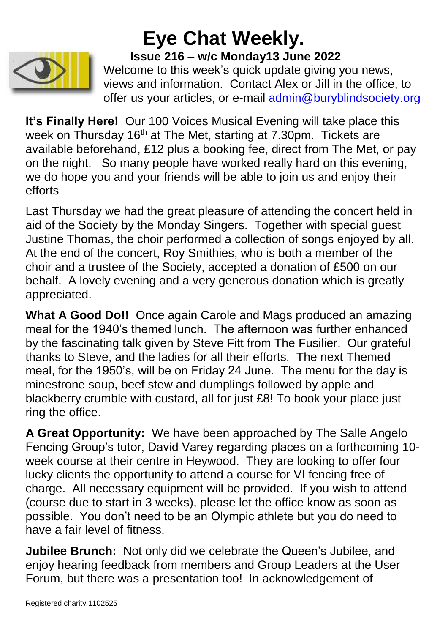

## **Eye Chat Weekly.**

**Issue 216 – w/c Monday13 June 2022**

Welcome to this week's quick update giving you news, views and information. Contact Alex or Jill in the office, to offer us your articles, or e-mail [admin@buryblindsociety.org](mailto:admin@buryblindsociety.org)

**It's Finally Here!** Our 100 Voices Musical Evening will take place this week on Thursday 16<sup>th</sup> at The Met, starting at 7.30pm. Tickets are available beforehand, £12 plus a booking fee, direct from The Met, or pay on the night. So many people have worked really hard on this evening, we do hope you and your friends will be able to join us and enjoy their efforts

Last Thursday we had the great pleasure of attending the concert held in aid of the Society by the Monday Singers. Together with special guest Justine Thomas, the choir performed a collection of songs enjoyed by all. At the end of the concert, Roy Smithies, who is both a member of the choir and a trustee of the Society, accepted a donation of £500 on our behalf. A lovely evening and a very generous donation which is greatly appreciated.

**What A Good Do!!** Once again Carole and Mags produced an amazing meal for the 1940's themed lunch. The afternoon was further enhanced by the fascinating talk given by Steve Fitt from The Fusilier. Our grateful thanks to Steve, and the ladies for all their efforts. The next Themed meal, for the 1950's, will be on Friday 24 June. The menu for the day is minestrone soup, beef stew and dumplings followed by apple and blackberry crumble with custard, all for just £8! To book your place just ring the office.

**A Great Opportunity:** We have been approached by The Salle Angelo Fencing Group's tutor, David Varey regarding places on a forthcoming 10 week course at their centre in Heywood. They are looking to offer four lucky clients the opportunity to attend a course for VI fencing free of charge. All necessary equipment will be provided. If you wish to attend (course due to start in 3 weeks), please let the office know as soon as possible. You don't need to be an Olympic athlete but you do need to have a fair level of fitness.

**Jubilee Brunch:** Not only did we celebrate the Queen's Jubilee, and enjoy hearing feedback from members and Group Leaders at the User Forum, but there was a presentation too! In acknowledgement of